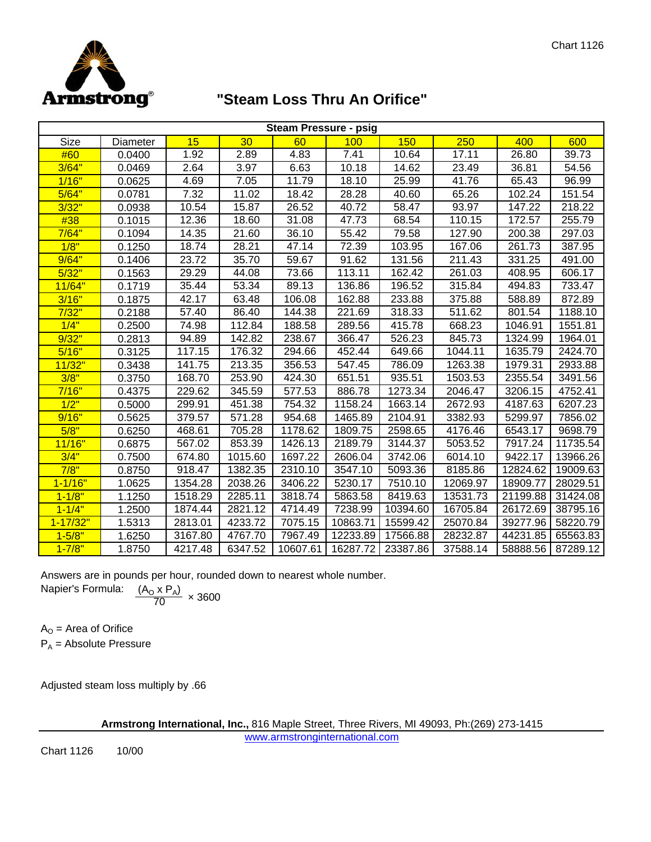

## **"Steam Loss Thru An Orifice"**

| <b>Steam Pressure - psig</b> |          |         |         |          |          |          |          |          |          |  |  |
|------------------------------|----------|---------|---------|----------|----------|----------|----------|----------|----------|--|--|
| Size                         | Diameter | 15      | 30      | 60       | 100      | 150      | 250      | 400      | 600      |  |  |
| #60                          | 0.0400   | 1.92    | 2.89    | 4.83     | 7.41     | 10.64    | 17.11    | 26.80    | 39.73    |  |  |
| 3/64"                        | 0.0469   | 2.64    | 3.97    | 6.63     | 10.18    | 14.62    | 23.49    | 36.81    | 54.56    |  |  |
| 1/16"                        | 0.0625   | 4.69    | 7.05    | 11.79    | 18.10    | 25.99    | 41.76    | 65.43    | 96.99    |  |  |
| 5/64"                        | 0.0781   | 7.32    | 11.02   | 18.42    | 28.28    | 40.60    | 65.26    | 102.24   | 151.54   |  |  |
| 3/32"                        | 0.0938   | 10.54   | 15.87   | 26.52    | 40.72    | 58.47    | 93.97    | 147.22   | 218.22   |  |  |
| #38                          | 0.1015   | 12.36   | 18.60   | 31.08    | 47.73    | 68.54    | 110.15   | 172.57   | 255.79   |  |  |
| 7/64"                        | 0.1094   | 14.35   | 21.60   | 36.10    | 55.42    | 79.58    | 127.90   | 200.38   | 297.03   |  |  |
| 1/8"                         | 0.1250   | 18.74   | 28.21   | 47.14    | 72.39    | 103.95   | 167.06   | 261.73   | 387.95   |  |  |
| 9/64"                        | 0.1406   | 23.72   | 35.70   | 59.67    | 91.62    | 131.56   | 211.43   | 331.25   | 491.00   |  |  |
| 5/32"                        | 0.1563   | 29.29   | 44.08   | 73.66    | 113.11   | 162.42   | 261.03   | 408.95   | 606.17   |  |  |
| 11/64"                       | 0.1719   | 35.44   | 53.34   | 89.13    | 136.86   | 196.52   | 315.84   | 494.83   | 733.47   |  |  |
| 3/16"                        | 0.1875   | 42.17   | 63.48   | 106.08   | 162.88   | 233.88   | 375.88   | 588.89   | 872.89   |  |  |
| 7/32"                        | 0.2188   | 57.40   | 86.40   | 144.38   | 221.69   | 318.33   | 511.62   | 801.54   | 1188.10  |  |  |
| 1/4"                         | 0.2500   | 74.98   | 112.84  | 188.58   | 289.56   | 415.78   | 668.23   | 1046.91  | 1551.81  |  |  |
| 9/32"                        | 0.2813   | 94.89   | 142.82  | 238.67   | 366.47   | 526.23   | 845.73   | 1324.99  | 1964.01  |  |  |
| 5/16"                        | 0.3125   | 117.15  | 176.32  | 294.66   | 452.44   | 649.66   | 1044.11  | 1635.79  | 2424.70  |  |  |
| 11/32"                       | 0.3438   | 141.75  | 213.35  | 356.53   | 547.45   | 786.09   | 1263.38  | 1979.31  | 2933.88  |  |  |
| 3/8"                         | 0.3750   | 168.70  | 253.90  | 424.30   | 651.51   | 935.51   | 1503.53  | 2355.54  | 3491.56  |  |  |
| 7/16"                        | 0.4375   | 229.62  | 345.59  | 577.53   | 886.78   | 1273.34  | 2046.47  | 3206.15  | 4752.41  |  |  |
| 1/2"                         | 0.5000   | 299.91  | 451.38  | 754.32   | 1158.24  | 1663.14  | 2672.93  | 4187.63  | 6207.23  |  |  |
| 9/16"                        | 0.5625   | 379.57  | 571.28  | 954.68   | 1465.89  | 2104.91  | 3382.93  | 5299.97  | 7856.02  |  |  |
| 5/8"                         | 0.6250   | 468.61  | 705.28  | 1178.62  | 1809.75  | 2598.65  | 4176.46  | 6543.17  | 9698.79  |  |  |
| 11/16"                       | 0.6875   | 567.02  | 853.39  | 1426.13  | 2189.79  | 3144.37  | 5053.52  | 7917.24  | 11735.54 |  |  |
| 3/4"                         | 0.7500   | 674.80  | 1015.60 | 1697.22  | 2606.04  | 3742.06  | 6014.10  | 9422.17  | 13966.26 |  |  |
| 7/8"                         | 0.8750   | 918.47  | 1382.35 | 2310.10  | 3547.10  | 5093.36  | 8185.86  | 12824.62 | 19009.63 |  |  |
| $1 - 1/16"$                  | 1.0625   | 1354.28 | 2038.26 | 3406.22  | 5230.17  | 7510.10  | 12069.97 | 18909.77 | 28029.51 |  |  |
| $1 - 1/8"$                   | 1.1250   | 1518.29 | 2285.11 | 3818.74  | 5863.58  | 8419.63  | 13531.73 | 21199.88 | 31424.08 |  |  |
| $1 - 1/4"$                   | 1.2500   | 1874.44 | 2821.12 | 4714.49  | 7238.99  | 10394.60 | 16705.84 | 26172.69 | 38795.16 |  |  |
| $1 - 17/32"$                 | 1.5313   | 2813.01 | 4233.72 | 7075.15  | 10863.71 | 15599.42 | 25070.84 | 39277.96 | 58220.79 |  |  |
| $1 - 5/8"$                   | 1.6250   | 3167.80 | 4767.70 | 7967.49  | 12233.89 | 17566.88 | 28232.87 | 44231.85 | 65563.83 |  |  |
| $1 - 7/8"$                   | 1.8750   | 4217.48 | 6347.52 | 10607.61 | 16287.72 | 23387.86 | 37588.14 | 58888.56 | 87289.12 |  |  |

Answers are in pounds per hour, rounded down to nearest whole number. Napier's Formula:

$$
\frac{(A_0 \times P_A)}{70} \times 3600
$$

 $A<sub>O</sub>$  = Area of Orifice  $P_A$  = Absolute Pressure

Adjusted steam loss multiply by .66

**Armstrong International, Inc.,** 816 Maple Street, Three Rivers, MI 49093, Ph:(269) 273-1415

www.armstronginternational.com

Chart 1126 10/00